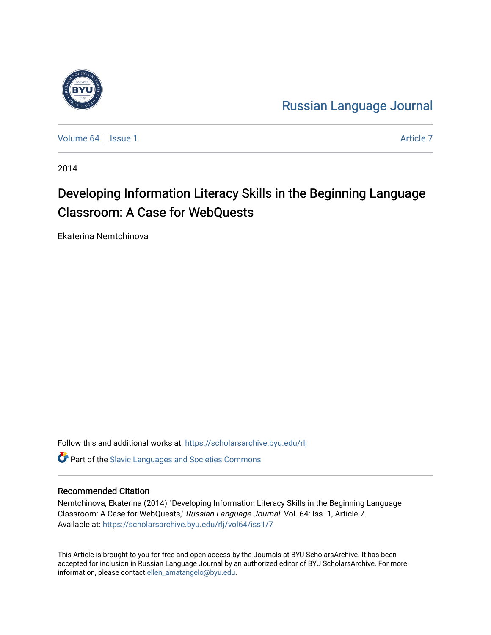

[Russian Language Journal](https://scholarsarchive.byu.edu/rlj) 

[Volume 64](https://scholarsarchive.byu.edu/rlj/vol64) | [Issue 1](https://scholarsarchive.byu.edu/rlj/vol64/iss1) [Article 7](https://scholarsarchive.byu.edu/rlj/vol64/iss1/7) Article 7 Article 7 Article 7 Article 7 Article 7 Article 7

2014

# Developing Information Literacy Skills in the Beginning Language Classroom: A Case for WebQuests

Ekaterina Nemtchinova

Follow this and additional works at: [https://scholarsarchive.byu.edu/rlj](https://scholarsarchive.byu.edu/rlj?utm_source=scholarsarchive.byu.edu%2Frlj%2Fvol64%2Fiss1%2F7&utm_medium=PDF&utm_campaign=PDFCoverPages)

**C** Part of the Slavic Languages and Societies Commons

#### Recommended Citation

Nemtchinova, Ekaterina (2014) "Developing Information Literacy Skills in the Beginning Language Classroom: A Case for WebQuests," Russian Language Journal: Vol. 64: Iss. 1, Article 7. Available at: [https://scholarsarchive.byu.edu/rlj/vol64/iss1/7](https://scholarsarchive.byu.edu/rlj/vol64/iss1/7?utm_source=scholarsarchive.byu.edu%2Frlj%2Fvol64%2Fiss1%2F7&utm_medium=PDF&utm_campaign=PDFCoverPages) 

This Article is brought to you for free and open access by the Journals at BYU ScholarsArchive. It has been accepted for inclusion in Russian Language Journal by an authorized editor of BYU ScholarsArchive. For more information, please contact [ellen\\_amatangelo@byu.edu.](mailto:ellen_amatangelo@byu.edu)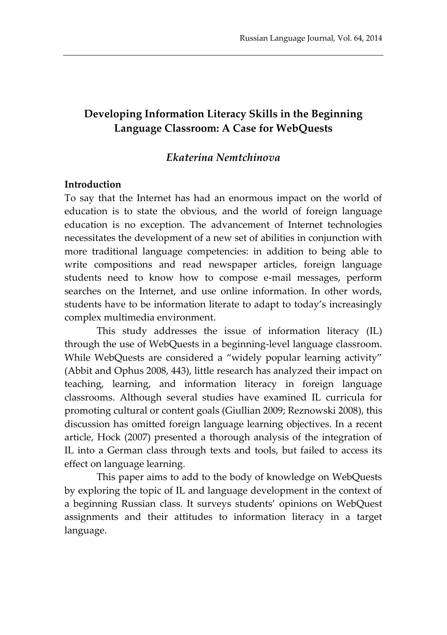# **Developing Information Literacy Skills in the Beginning Language Classroom: A Case for WebQuests**

## *Ekaterina Nemtchinova*

#### **Introduction**

To say that the Internet has had an enormous impact on the world of education is to state the obvious, and the world of foreign language education is no exception. The advancement of Internet technologies necessitates the development of a new set of abilities in conjunction with more traditional language competencies: in addition to being able to write compositions and read newspaper articles, foreign language students need to know how to compose e-mail messages, perform searches on the Internet, and use online information. In other words, students have to be information literate to adapt to today's increasingly complex multimedia environment.

This study addresses the issue of information literacy (IL) through the use of WebQuests in a beginning-level language classroom. While WebQuests are considered a "widely popular learning activity" (Abbit and Ophus 2008, 443), little research has analyzed their impact on teaching, learning, and information literacy in foreign language classrooms. Although several studies have examined IL curricula for promoting cultural or content goals (Giullian 2009; Reznowski 2008), this discussion has omitted foreign language learning objectives. In a recent article, Hock (2007) presented a thorough analysis of the integration of IL into a German class through texts and tools, but failed to access its effect on language learning.

This paper aims to add to the body of knowledge on WebQuests by exploring the topic of IL and language development in the context of a beginning Russian class. It surveys students' opinions on WebQuest assignments and their attitudes to information literacy in a target language.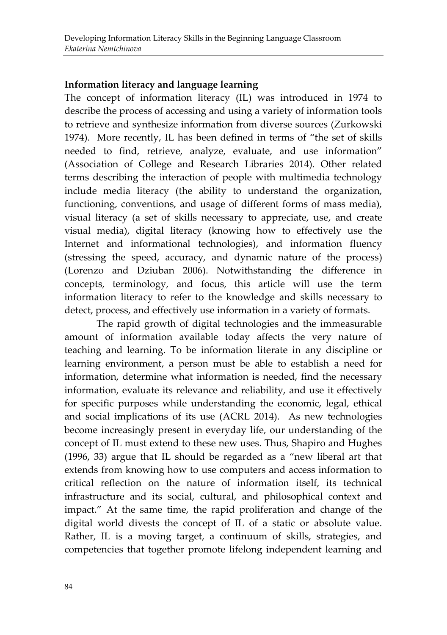# **Information literacy and language learning**

The concept of information literacy (IL) was introduced in 1974 to describe the process of accessing and using a variety of information tools to retrieve and synthesize information from diverse sources (Zurkowski 1974). More recently, IL has been defined in terms of "the set of skills needed to find, retrieve, analyze, evaluate, and use information" (Association of College and Research Libraries 2014). Other related terms describing the interaction of people with multimedia technology include media literacy (the ability to understand the organization, functioning, conventions, and usage of different forms of mass media), visual literacy (a set of skills necessary to appreciate, use, and create visual media), digital literacy (knowing how to effectively use the Internet and informational technologies), and information fluency (stressing the speed, accuracy, and dynamic nature of the process) (Lorenzo and Dziuban 2006). Notwithstanding the difference in concepts, terminology, and focus, this article will use the term information literacy to refer to the knowledge and skills necessary to detect, process, and effectively use information in a variety of formats.

The rapid growth of digital technologies and the immeasurable amount of information available today affects the very nature of teaching and learning. To be information literate in any discipline or learning environment, a person must be able to establish a need for information, determine what information is needed, find the necessary information, evaluate its relevance and reliability, and use it effectively for specific purposes while understanding the economic, legal, ethical and social implications of its use (ACRL 2014). As new technologies become increasingly present in everyday life, our understanding of the concept of IL must extend to these new uses. Thus, Shapiro and Hughes (1996, 33) argue that IL should be regarded as a "new liberal art that extends from knowing how to use computers and access information to critical reflection on the nature of information itself, its technical infrastructure and its social, cultural, and philosophical context and impact." At the same time, the rapid proliferation and change of the digital world divests the concept of IL of a static or absolute value. Rather, IL is a moving target, a continuum of skills, strategies, and competencies that together promote lifelong independent learning and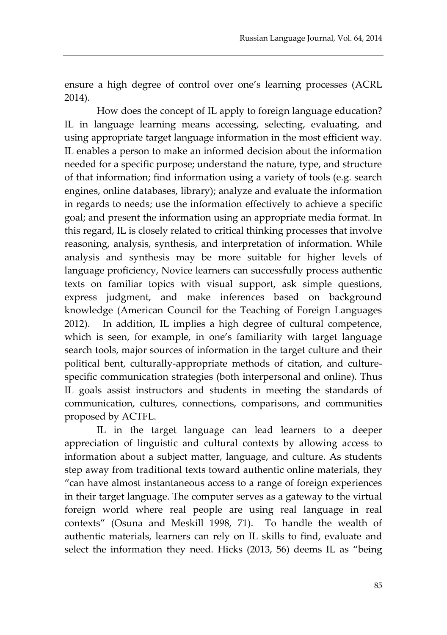ensure a high degree of control over one's learning processes (ACRL 2014).

How does the concept of IL apply to foreign language education? IL in language learning means accessing, selecting, evaluating, and using appropriate target language information in the most efficient way. IL enables a person to make an informed decision about the information needed for a specific purpose; understand the nature, type, and structure of that information; find information using a variety of tools (e.g. search engines, online databases, library); analyze and evaluate the information in regards to needs; use the information effectively to achieve a specific goal; and present the information using an appropriate media format. In this regard, IL is closely related to critical thinking processes that involve reasoning, analysis, synthesis, and interpretation of information. While analysis and synthesis may be more suitable for higher levels of language proficiency, Novice learners can successfully process authentic texts on familiar topics with visual support, ask simple questions, express judgment, and make inferences based on background knowledge (American Council for the Teaching of Foreign Languages 2012). In addition, IL implies a high degree of cultural competence, which is seen, for example, in one's familiarity with target language search tools, major sources of information in the target culture and their political bent, culturally-appropriate methods of citation, and culturespecific communication strategies (both interpersonal and online). Thus IL goals assist instructors and students in meeting the standards of communication, cultures, connections, comparisons, and communities proposed by ACTFL.

IL in the target language can lead learners to a deeper appreciation of linguistic and cultural contexts by allowing access to information about a subject matter, language, and culture. As students step away from traditional texts toward authentic online materials, they "can have almost instantaneous access to a range of foreign experiences in their target language. The computer serves as a gateway to the virtual foreign world where real people are using real language in real contexts" (Osuna and Meskill 1998, 71). To handle the wealth of authentic materials, learners can rely on IL skills to find, evaluate and select the information they need. Hicks (2013, 56) deems IL as "being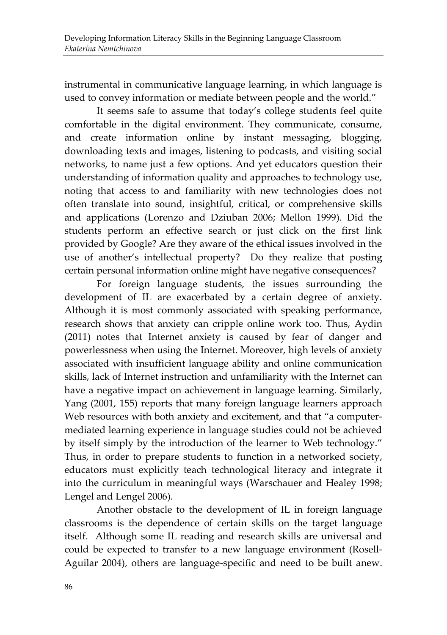instrumental in communicative language learning, in which language is used to convey information or mediate between people and the world."

It seems safe to assume that today's college students feel quite comfortable in the digital environment. They communicate, consume, and create information online by instant messaging, blogging, downloading texts and images, listening to podcasts, and visiting social networks, to name just a few options. And yet educators question their understanding of information quality and approaches to technology use, noting that access to and familiarity with new technologies does not often translate into sound, insightful, critical, or comprehensive skills and applications (Lorenzo and Dziuban 2006; Mellon 1999). Did the students perform an effective search or just click on the first link provided by Google? Are they aware of the ethical issues involved in the use of another's intellectual property? Do they realize that posting certain personal information online might have negative consequences?

For foreign language students, the issues surrounding the development of IL are exacerbated by a certain degree of anxiety. Although it is most commonly associated with speaking performance, research shows that anxiety can cripple online work too. Thus, Aydin (2011) notes that Internet anxiety is caused by fear of danger and powerlessness when using the Internet. Moreover, high levels of anxiety associated with insufficient language ability and online communication skills, lack of Internet instruction and unfamiliarity with the Internet can have a negative impact on achievement in language learning. Similarly, Yang (2001, 155) reports that many foreign language learners approach Web resources with both anxiety and excitement, and that "a computermediated learning experience in language studies could not be achieved by itself simply by the introduction of the learner to Web technology." Thus, in order to prepare students to function in a networked society, educators must explicitly teach technological literacy and integrate it into the curriculum in meaningful ways (Warschauer and Healey 1998; Lengel and Lengel 2006).

Another obstacle to the development of IL in foreign language classrooms is the dependence of certain skills on the target language itself. Although some IL reading and research skills are universal and could be expected to transfer to a new language environment (Rosell-Aguilar 2004), others are language-specific and need to be built anew.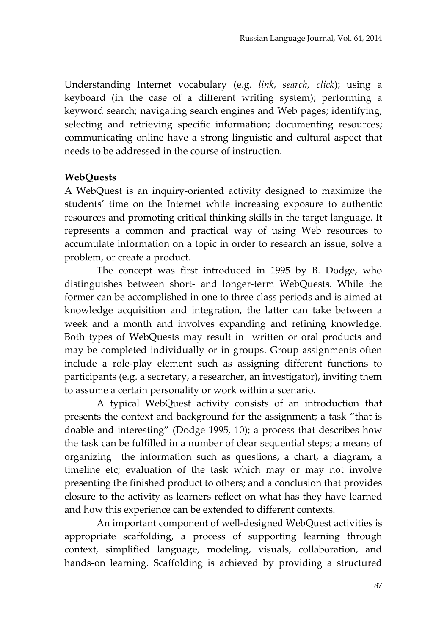Understanding Internet vocabulary (e.g. *link*, *search*, *click*); using a keyboard (in the case of a different writing system); performing a keyword search; navigating search engines and Web pages; identifying, selecting and retrieving specific information; documenting resources; communicating online have a strong linguistic and cultural aspect that needs to be addressed in the course of instruction.

#### **WebQuests**

A WebQuest is an inquiry-oriented activity designed to maximize the students' time on the Internet while increasing exposure to authentic resources and promoting critical thinking skills in the target language. It represents a common and practical way of using Web resources to accumulate information on a topic in order to research an issue, solve a problem, or create a product.

The concept was first introduced in 1995 by B. Dodge, who distinguishes between short- and longer-term WebQuests. While the former can be accomplished in one to three class periods and is aimed at knowledge acquisition and integration, the latter can take between a week and a month and involves expanding and refining knowledge. Both types of WebQuests may result in written or oral products and may be completed individually or in groups. Group assignments often include a role-play element such as assigning different functions to participants (e.g. a secretary, a researcher, an investigator), inviting them to assume a certain personality or work within a scenario.

A typical WebQuest activity consists of an introduction that presents the context and background for the assignment; a task "that is doable and interesting" (Dodge 1995, 10); a process that describes how the task can be fulfilled in a number of clear sequential steps; a means of organizing the information such as questions, a chart, a diagram, a timeline etc; evaluation of the task which may or may not involve presenting the finished product to others; and a conclusion that provides closure to the activity as learners reflect on what has they have learned and how this experience can be extended to different contexts.

An important component of well-designed WebQuest activities is appropriate scaffolding, a process of supporting learning through context, simplified language, modeling, visuals, collaboration, and hands-on learning. Scaffolding is achieved by providing a structured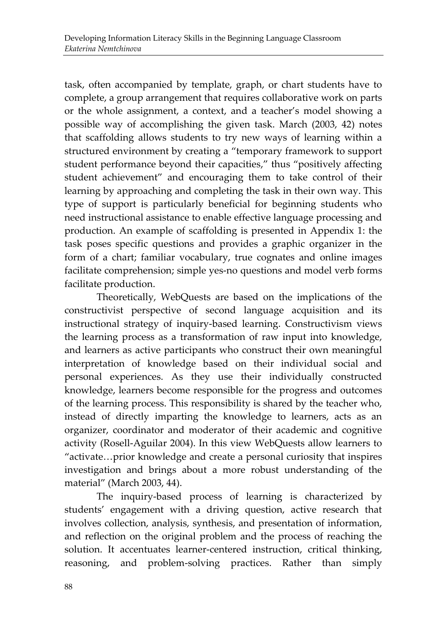task, often accompanied by template, graph, or chart students have to complete, a group arrangement that requires collaborative work on parts or the whole assignment, a context, and a teacher's model showing a possible way of accomplishing the given task. March (2003, 42) notes that scaffolding allows students to try new ways of learning within a structured environment by creating a "temporary framework to support student performance beyond their capacities," thus "positively affecting student achievement" and encouraging them to take control of their learning by approaching and completing the task in their own way. This type of support is particularly beneficial for beginning students who need instructional assistance to enable effective language processing and production. An example of scaffolding is presented in Appendix 1: the task poses specific questions and provides a graphic organizer in the form of a chart; familiar vocabulary, true cognates and online images facilitate comprehension; simple yes-no questions and model verb forms facilitate production.

Theoretically, WebQuests are based on the implications of the constructivist perspective of second language acquisition and its instructional strategy of inquiry-based learning. Constructivism views the learning process as a transformation of raw input into knowledge, and learners as active participants who construct their own meaningful interpretation of knowledge based on their individual social and personal experiences. As they use their individually constructed knowledge, learners become responsible for the progress and outcomes of the learning process. This responsibility is shared by the teacher who, instead of directly imparting the knowledge to learners, acts as an organizer, coordinator and moderator of their academic and cognitive activity (Rosell-Aguilar 2004). In this view WebQuests allow learners to "activate…prior knowledge and create a personal curiosity that inspires investigation and brings about a more robust understanding of the material" (March 2003, 44).

The inquiry-based process of learning is characterized by students' engagement with a driving question, active research that involves collection, analysis, synthesis, and presentation of information, and reflection on the original problem and the process of reaching the solution. It accentuates learner-centered instruction, critical thinking, reasoning, and problem-solving practices. Rather than simply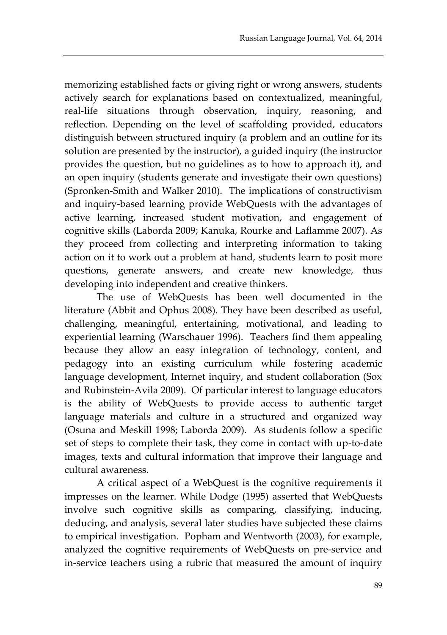memorizing established facts or giving right or wrong answers, students actively search for explanations based on contextualized, meaningful, real-life situations through observation, inquiry, reasoning, and reflection. Depending on the level of scaffolding provided, educators distinguish between structured inquiry (a problem and an outline for its solution are presented by the instructor), a guided inquiry (the instructor provides the question, but no guidelines as to how to approach it), and an open inquiry (students generate and investigate their own questions) (Spronken-Smith and Walker 2010). The implications of constructivism and inquiry-based learning provide WebQuests with the advantages of active learning, increased student motivation, and engagement of cognitive skills (Laborda 2009; Kanuka, Rourke and Laflamme 2007). As they proceed from collecting and interpreting information to taking action on it to work out a problem at hand, students learn to posit more questions, generate answers, and create new knowledge, thus developing into independent and creative thinkers.

The use of WebQuests has been well documented in the literature (Abbit and Ophus 2008). They have been described as useful, challenging, meaningful, entertaining, motivational, and leading to experiential learning (Warschauer 1996). Teachers find them appealing because they allow an easy integration of technology, content, and pedagogy into an existing curriculum while fostering academic language development, Internet inquiry, and student collaboration (Sox and Rubinstein-Avila 2009). Of particular interest to language educators is the ability of WebQuests to provide access to authentic target language materials and culture in a structured and organized way (Osuna and Meskill 1998; Laborda 2009). As students follow a specific set of steps to complete their task, they come in contact with up-to-date images, texts and cultural information that improve their language and cultural awareness.

A critical aspect of a WebQuest is the cognitive requirements it impresses on the learner. While Dodge (1995) asserted that WebQuests involve such cognitive skills as comparing, classifying, inducing, deducing, and analysis, several later studies have subjected these claims to empirical investigation. Popham and Wentworth (2003), for example, analyzed the cognitive requirements of WebQuests on pre-service and in-service teachers using a rubric that measured the amount of inquiry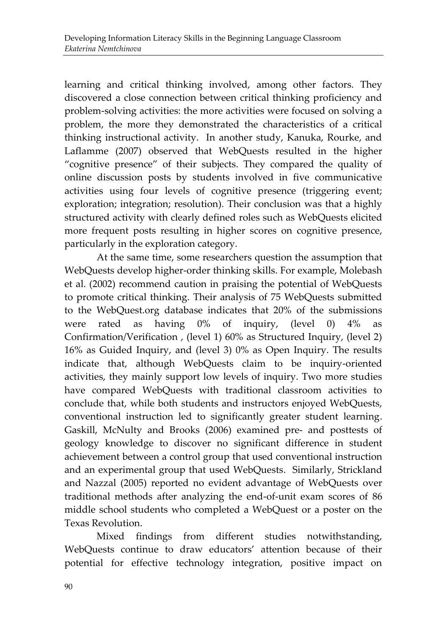learning and critical thinking involved, among other factors. They discovered a close connection between critical thinking proficiency and problem-solving activities: the more activities were focused on solving a problem, the more they demonstrated the characteristics of a critical thinking instructional activity. In another study, Kanuka, Rourke, and Laflamme (2007) observed that WebQuests resulted in the higher "cognitive presence" of their subjects. They compared the quality of online discussion posts by students involved in five communicative activities using four levels of cognitive presence (triggering event; exploration; integration; resolution). Their conclusion was that a highly structured activity with clearly defined roles such as WebQuests elicited more frequent posts resulting in higher scores on cognitive presence, particularly in the exploration category.

At the same time, some researchers question the assumption that WebQuests develop higher-order thinking skills. For example, Molebash et al. (2002) recommend caution in praising the potential of WebQuests to promote critical thinking. Their analysis of 75 WebQuests submitted to the WebQuest.org database indicates that 20% of the submissions were rated as having 0% of inquiry, (level 0) 4% as Confirmation/Verification , (level 1) 60% as Structured Inquiry, (level 2) 16% as Guided Inquiry, and (level 3) 0% as Open Inquiry. The results indicate that, although WebQuests claim to be inquiry-oriented activities, they mainly support low levels of inquiry. Two more studies have compared WebQuests with traditional classroom activities to conclude that, while both students and instructors enjoyed WebQuests, conventional instruction led to significantly greater student learning. Gaskill, McNulty and Brooks (2006) examined pre- and posttests of geology knowledge to discover no significant difference in student achievement between a control group that used conventional instruction and an experimental group that used WebQuests. Similarly, Strickland and Nazzal (2005) reported no evident advantage of WebQuests over traditional methods after analyzing the end-of-unit exam scores of 86 middle school students who completed a WebQuest or a poster on the Texas Revolution.

Mixed findings from different studies notwithstanding, WebQuests continue to draw educators' attention because of their potential for effective technology integration, positive impact on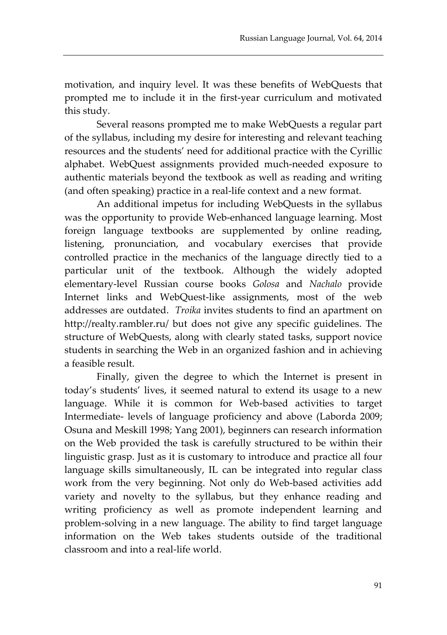motivation, and inquiry level. It was these benefits of WebQuests that prompted me to include it in the first-year curriculum and motivated this study.

Several reasons prompted me to make WebQuests a regular part of the syllabus, including my desire for interesting and relevant teaching resources and the students' need for additional practice with the Cyrillic alphabet. WebQuest assignments provided much-needed exposure to authentic materials beyond the textbook as well as reading and writing (and often speaking) practice in a real-life context and a new format.

An additional impetus for including WebQuests in the syllabus was the opportunity to provide Web-enhanced language learning. Most foreign language textbooks are supplemented by online reading, listening, pronunciation, and vocabulary exercises that provide controlled practice in the mechanics of the language directly tied to a particular unit of the textbook. Although the widely adopted elementary-level Russian course books *Golosa* and *Nachalo* provide Internet links and WebQuest-like assignments, most of the web addresses are outdated. *Troika* invites students to find an apartment on http://realty.rambler.ru/ but does not give any specific guidelines. The structure of WebQuests, along with clearly stated tasks, support novice students in searching the Web in an organized fashion and in achieving a feasible result.

Finally, given the degree to which the Internet is present in today's students' lives, it seemed natural to extend its usage to a new language. While it is common for Web-based activities to target Intermediate- levels of language proficiency and above (Laborda 2009; Osuna and Meskill 1998; Yang 2001), beginners can research information on the Web provided the task is carefully structured to be within their linguistic grasp. Just as it is customary to introduce and practice all four language skills simultaneously, IL can be integrated into regular class work from the very beginning. Not only do Web-based activities add variety and novelty to the syllabus, but they enhance reading and writing proficiency as well as promote independent learning and problem-solving in a new language. The ability to find target language information on the Web takes students outside of the traditional classroom and into a real-life world.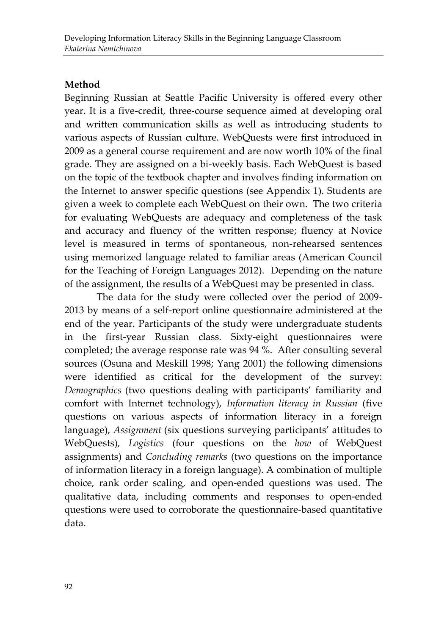# **Method**

Beginning Russian at Seattle Pacific University is offered every other year. It is a five-credit, three-course sequence aimed at developing oral and written communication skills as well as introducing students to various aspects of Russian culture. WebQuests were first introduced in 2009 as a general course requirement and are now worth 10% of the final grade. They are assigned on a bi-weekly basis. Each WebQuest is based on the topic of the textbook chapter and involves finding information on the Internet to answer specific questions (see Appendix 1). Students are given a week to complete each WebQuest on their own. The two criteria for evaluating WebQuests are adequacy and completeness of the task and accuracy and fluency of the written response; fluency at Novice level is measured in terms of spontaneous, non-rehearsed sentences using memorized language related to familiar areas (American Council for the Teaching of Foreign Languages 2012). Depending on the nature of the assignment, the results of a WebQuest may be presented in class.

The data for the study were collected over the period of 2009- 2013 by means of a self-report online questionnaire administered at the end of the year. Participants of the study were undergraduate students in the first-year Russian class. Sixty-eight questionnaires were completed; the average response rate was 94 %. After consulting several sources (Osuna and Meskill 1998; Yang 2001) the following dimensions were identified as critical for the development of the survey: *Demographics* (two questions dealing with participants' familiarity and comfort with Internet technology), *Information literacy in Russian* (five questions on various aspects of information literacy in a foreign language), *Assignment* (six questions surveying participants' attitudes to WebQuests), *Logistics* (four questions on the *how* of WebQuest assignments) and *Concluding remarks* (two questions on the importance of information literacy in a foreign language). A combination of multiple choice, rank order scaling, and open-ended questions was used. The qualitative data, including comments and responses to open-ended questions were used to corroborate the questionnaire-based quantitative data.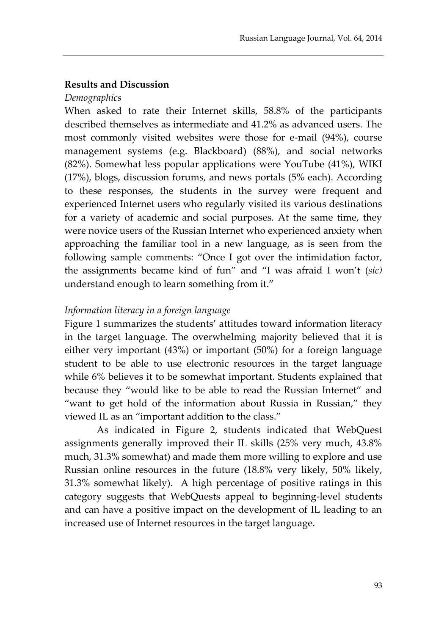#### **Results and Discussion**

#### *Demographics*

When asked to rate their Internet skills, 58.8% of the participants described themselves as intermediate and 41.2% as advanced users. The most commonly visited websites were those for e-mail (94%), course management systems (e.g. Blackboard) (88%), and social networks (82%). Somewhat less popular applications were YouTube (41%), WIKI (17%), blogs, discussion forums, and news portals (5% each). According to these responses, the students in the survey were frequent and experienced Internet users who regularly visited its various destinations for a variety of academic and social purposes. At the same time, they were novice users of the Russian Internet who experienced anxiety when approaching the familiar tool in a new language, as is seen from the following sample comments: "Once I got over the intimidation factor, the assignments became kind of fun" and "I was afraid I won't (*sic)*  understand enough to learn something from it."

#### *Information literacy in a foreign language*

Figure 1 summarizes the students' attitudes toward information literacy in the target language. The overwhelming majority believed that it is either very important (43%) or important (50%) for a foreign language student to be able to use electronic resources in the target language while 6% believes it to be somewhat important. Students explained that because they "would like to be able to read the Russian Internet" and "want to get hold of the information about Russia in Russian," they viewed IL as an "important addition to the class."

As indicated in Figure 2, students indicated that WebQuest assignments generally improved their IL skills (25% very much, 43.8% much, 31.3% somewhat) and made them more willing to explore and use Russian online resources in the future (18.8% very likely, 50% likely, 31.3% somewhat likely). A high percentage of positive ratings in this category suggests that WebQuests appeal to beginning-level students and can have a positive impact on the development of IL leading to an increased use of Internet resources in the target language.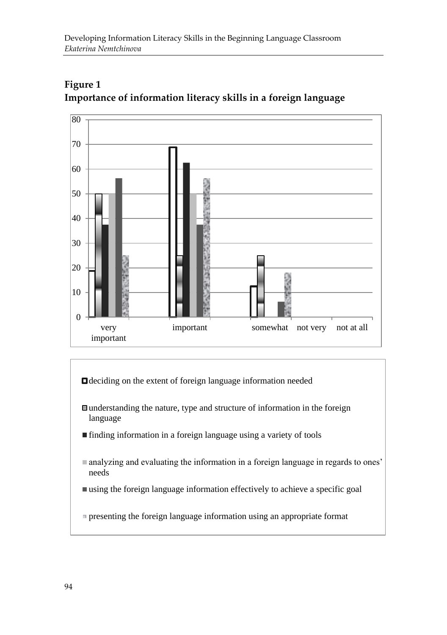

# **Figure 1 Importance of information literacy skills in a foreign language**

deciding on the extent of foreign language information needed

- understanding the nature, type and structure of information in the foreign language
- finding information in a foreign language using a variety of tools
- analyzing and evaluating the information in a foreign language in regards to ones' needs
- using the foreign language information effectively to achieve a specific goal
- presenting the foreign language information using an appropriate format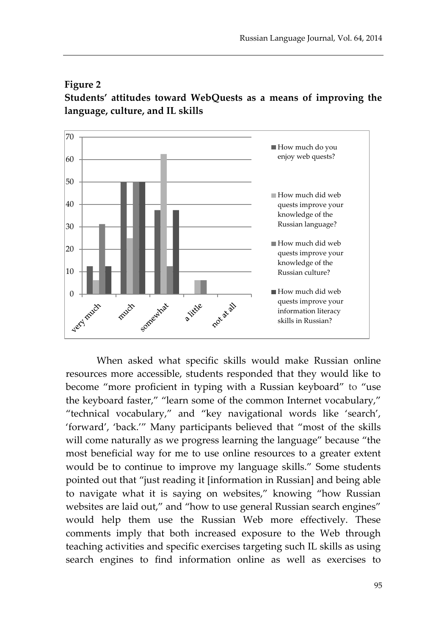## **Figure 2**

**Students' attitudes toward WebQuests as a means of improving the language, culture, and IL skills**



When asked what specific skills would make Russian online resources more accessible, students responded that they would like to become "more proficient in typing with a Russian keyboard" to "use the keyboard faster," "learn some of the common Internet vocabulary," "technical vocabulary," and "key navigational words like 'search', 'forward', 'back.'" Many participants believed that "most of the skills will come naturally as we progress learning the language" because "the most beneficial way for me to use online resources to a greater extent would be to continue to improve my language skills." Some students pointed out that "just reading it [information in Russian] and being able to navigate what it is saying on websites," knowing "how Russian websites are laid out," and "how to use general Russian search engines" would help them use the Russian Web more effectively. These comments imply that both increased exposure to the Web through teaching activities and specific exercises targeting such IL skills as using search engines to find information online as well as exercises to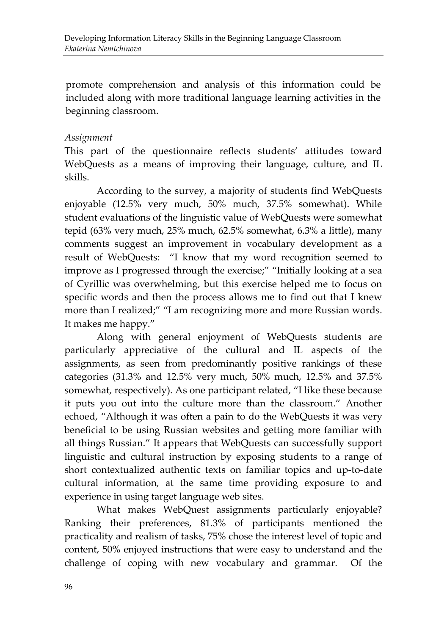promote comprehension and analysis of this information could be included along with more traditional language learning activities in the beginning classroom.

## *Assignment*

This part of the questionnaire reflects students' attitudes toward WebQuests as a means of improving their language, culture, and IL skills.

According to the survey, a majority of students find WebQuests enjoyable (12.5% very much, 50% much, 37.5% somewhat). While student evaluations of the linguistic value of WebQuests were somewhat tepid (63% very much, 25% much, 62.5% somewhat, 6.3% a little), many comments suggest an improvement in vocabulary development as a result of WebQuests: "I know that my word recognition seemed to improve as I progressed through the exercise;" "Initially looking at a sea of Cyrillic was overwhelming, but this exercise helped me to focus on specific words and then the process allows me to find out that I knew more than I realized;" "I am recognizing more and more Russian words. It makes me happy."

Along with general enjoyment of WebQuests students are particularly appreciative of the cultural and IL aspects of the assignments, as seen from predominantly positive rankings of these categories (31.3% and 12.5% very much, 50% much, 12.5% and 37.5% somewhat, respectively). As one participant related, "I like these because it puts you out into the culture more than the classroom." Another echoed, "Although it was often a pain to do the WebQuests it was very beneficial to be using Russian websites and getting more familiar with all things Russian." It appears that WebQuests can successfully support linguistic and cultural instruction by exposing students to a range of short contextualized authentic texts on familiar topics and up-to-date cultural information, at the same time providing exposure to and experience in using target language web sites.

What makes WebQuest assignments particularly enjoyable? Ranking their preferences, 81.3% of participants mentioned the practicality and realism of tasks, 75% chose the interest level of topic and content, 50% enjoyed instructions that were easy to understand and the challenge of coping with new vocabulary and grammar. Of the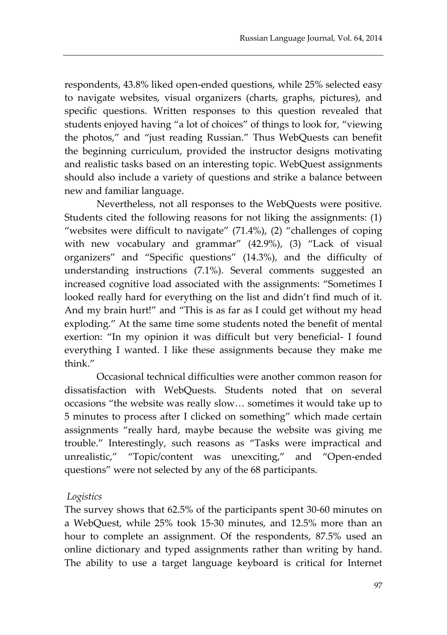respondents, 43.8% liked open-ended questions, while 25% selected easy to navigate websites, visual organizers (charts, graphs, pictures), and specific questions. Written responses to this question revealed that students enjoyed having "a lot of choices" of things to look for, "viewing the photos," and "just reading Russian." Thus WebQuests can benefit the beginning curriculum, provided the instructor designs motivating and realistic tasks based on an interesting topic. WebQuest assignments should also include a variety of questions and strike a balance between new and familiar language.

Nevertheless, not all responses to the WebQuests were positive. Students cited the following reasons for not liking the assignments: (1) "websites were difficult to navigate"  $(71.4\%)$ ,  $(2)$  "challenges of coping with new vocabulary and grammar" (42.9%), (3) "Lack of visual organizers" and "Specific questions" (14.3%), and the difficulty of understanding instructions (7.1%). Several comments suggested an increased cognitive load associated with the assignments: "Sometimes I looked really hard for everything on the list and didn't find much of it. And my brain hurt!" and "This is as far as I could get without my head exploding." At the same time some students noted the benefit of mental exertion: "In my opinion it was difficult but very beneficial- I found everything I wanted. I like these assignments because they make me think."

Occasional technical difficulties were another common reason for dissatisfaction with WebQuests. Students noted that on several occasions "the website was really slow… sometimes it would take up to 5 minutes to process after I clicked on something" which made certain assignments "really hard, maybe because the website was giving me trouble." Interestingly, such reasons as "Tasks were impractical and unrealistic," "Topic/content was unexciting," and "Open-ended questions" were not selected by any of the 68 participants.

#### *Logistics*

The survey shows that 62.5% of the participants spent 30-60 minutes on a WebQuest, while 25% took 15-30 minutes, and 12.5% more than an hour to complete an assignment. Of the respondents, 87.5% used an online dictionary and typed assignments rather than writing by hand. The ability to use a target language keyboard is critical for Internet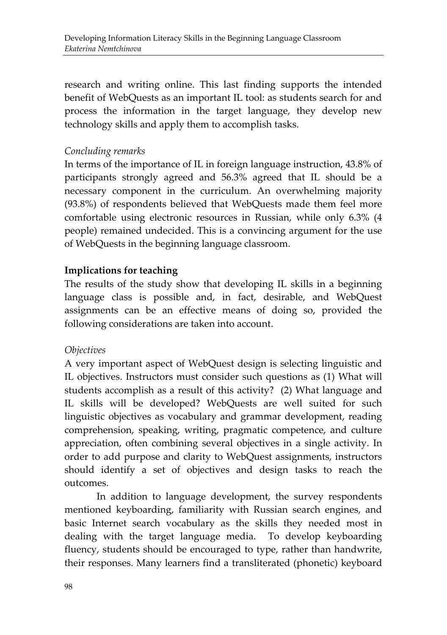research and writing online. This last finding supports the intended benefit of WebQuests as an important IL tool: as students search for and process the information in the target language, they develop new technology skills and apply them to accomplish tasks.

## *Concluding remarks*

In terms of the importance of IL in foreign language instruction, 43.8% of participants strongly agreed and 56.3% agreed that IL should be a necessary component in the curriculum. An overwhelming majority (93.8%) of respondents believed that WebQuests made them feel more comfortable using electronic resources in Russian, while only 6.3% (4 people) remained undecided. This is a convincing argument for the use of WebQuests in the beginning language classroom.

# **Implications for teaching**

The results of the study show that developing IL skills in a beginning language class is possible and, in fact, desirable, and WebQuest assignments can be an effective means of doing so, provided the following considerations are taken into account.

## *Objectives*

A very important aspect of WebQuest design is selecting linguistic and IL objectives. Instructors must consider such questions as (1) What will students accomplish as a result of this activity? (2) What language and IL skills will be developed? WebQuests are well suited for such linguistic objectives as vocabulary and grammar development, reading comprehension, speaking, writing, pragmatic competence, and culture appreciation, often combining several objectives in a single activity. In order to add purpose and clarity to WebQuest assignments, instructors should identify a set of objectives and design tasks to reach the outcomes.

In addition to language development, the survey respondents mentioned keyboarding, familiarity with Russian search engines, and basic Internet search vocabulary as the skills they needed most in dealing with the target language media. To develop keyboarding fluency, students should be encouraged to type, rather than handwrite, their responses. Many learners find a transliterated (phonetic) keyboard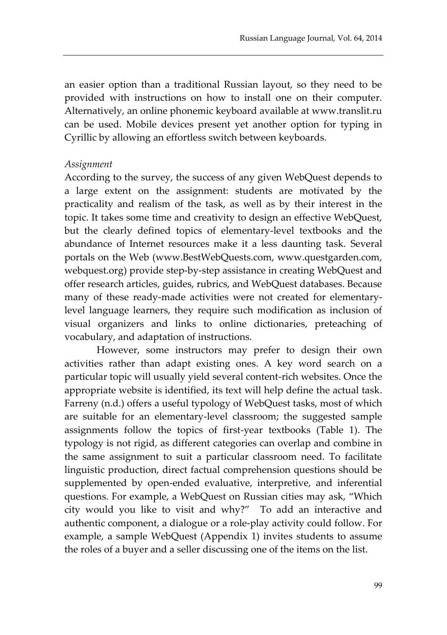an easier option than a traditional Russian layout, so they need to be provided with instructions on how to install one on their computer. Alternatively, an online phonemic keyboard available at www.translit.ru can be used. Mobile devices present yet another option for typing in Cyrillic by allowing an effortless switch between keyboards.

## *Assignment*

According to the survey, the success of any given WebQuest depends to a large extent on the assignment: students are motivated by the practicality and realism of the task, as well as by their interest in the topic. It takes some time and creativity to design an effective WebQuest, but the clearly defined topics of elementary-level textbooks and the abundance of Internet resources make it a less daunting task. Several portals on the Web (www.BestWebQuests.com, www.questgarden.com, webquest.org) provide step-by-step assistance in creating WebQuest and offer research articles, guides, rubrics, and WebQuest databases. Because many of these ready-made activities were not created for elementarylevel language learners, they require such modification as inclusion of visual organizers and links to online dictionaries, preteaching of vocabulary, and adaptation of instructions.

However, some instructors may prefer to design their own activities rather than adapt existing ones. A key word search on a particular topic will usually yield several content-rich websites. Once the appropriate website is identified, its text will help define the actual task. Farreny (n.d.) offers a useful typology of WebQuest tasks, most of which are suitable for an elementary-level classroom; the suggested sample assignments follow the topics of first-year textbooks (Table 1). The typology is not rigid, as different categories can overlap and combine in the same assignment to suit a particular classroom need. To facilitate linguistic production, direct factual comprehension questions should be supplemented by open-ended evaluative, interpretive, and inferential questions. For example, a WebQuest on Russian cities may ask, "Which city would you like to visit and why?" To add an interactive and authentic component, a dialogue or a role-play activity could follow. For example, a sample WebQuest (Appendix 1) invites students to assume the roles of a buyer and a seller discussing one of the items on the list.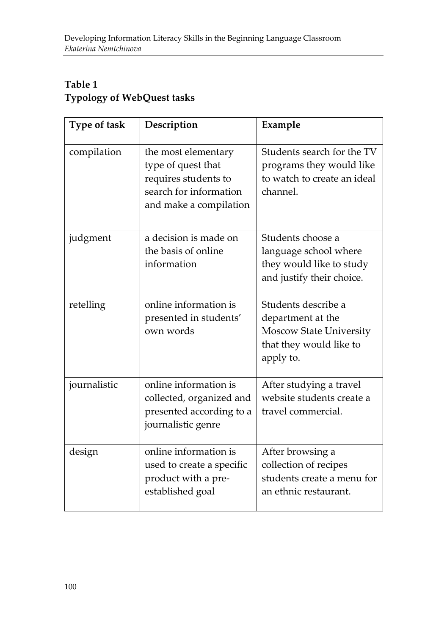# **Table 1 Typology of WebQuest tasks**

| <b>Type of task</b> | Description                                                                                                           | Example                                                                                                            |
|---------------------|-----------------------------------------------------------------------------------------------------------------------|--------------------------------------------------------------------------------------------------------------------|
| compilation         | the most elementary<br>type of quest that<br>requires students to<br>search for information<br>and make a compilation | Students search for the TV<br>programs they would like<br>to watch to create an ideal<br>channel.                  |
| judgment            | a decision is made on<br>the basis of online<br>information                                                           | Students choose a<br>language school where<br>they would like to study<br>and justify their choice.                |
| retelling           | online information is<br>presented in students'<br>own words                                                          | Students describe a<br>department at the<br><b>Moscow State University</b><br>that they would like to<br>apply to. |
| journalistic        | online information is<br>collected, organized and<br>presented according to a<br>journalistic genre                   | After studying a travel<br>website students create a<br>travel commercial.                                         |
| design              | online information is<br>used to create a specific<br>product with a pre-<br>established goal                         | After browsing a<br>collection of recipes<br>students create a menu for<br>an ethnic restaurant.                   |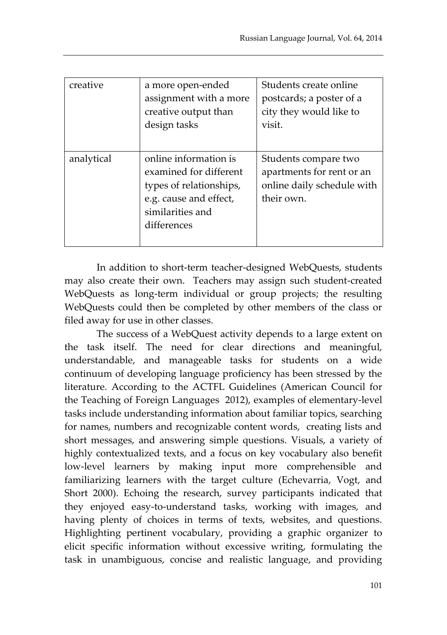| creative   | a more open-ended<br>assignment with a more<br>creative output than<br>design tasks                                                     | Students create online<br>postcards; a poster of a<br>city they would like to<br>visit.       |
|------------|-----------------------------------------------------------------------------------------------------------------------------------------|-----------------------------------------------------------------------------------------------|
| analytical | online information is<br>examined for different<br>types of relationships,<br>e.g. cause and effect,<br>similarities and<br>differences | Students compare two<br>apartments for rent or an<br>online daily schedule with<br>their own. |

In addition to short-term teacher-designed WebQuests, students may also create their own. Teachers may assign such student-created WebQuests as long-term individual or group projects; the resulting WebQuests could then be completed by other members of the class or filed away for use in other classes.

The success of a WebQuest activity depends to a large extent on the task itself. The need for clear directions and meaningful, understandable, and manageable tasks for students on a wide continuum of developing language proficiency has been stressed by the literature. According to the ACTFL Guidelines (American Council for the Teaching of Foreign Languages 2012), examples of elementary-level tasks include understanding information about familiar topics, searching for names, numbers and recognizable content words, creating lists and short messages, and answering simple questions. Visuals, a variety of highly contextualized texts, and a focus on key vocabulary also benefit low-level learners by making input more comprehensible and familiarizing learners with the target culture (Echevarria, Vogt, and Short 2000). Echoing the research, survey participants indicated that they enjoyed easy-to-understand tasks, working with images, and having plenty of choices in terms of texts, websites, and questions. Highlighting pertinent vocabulary, providing a graphic organizer to elicit specific information without excessive writing, formulating the task in unambiguous, concise and realistic language, and providing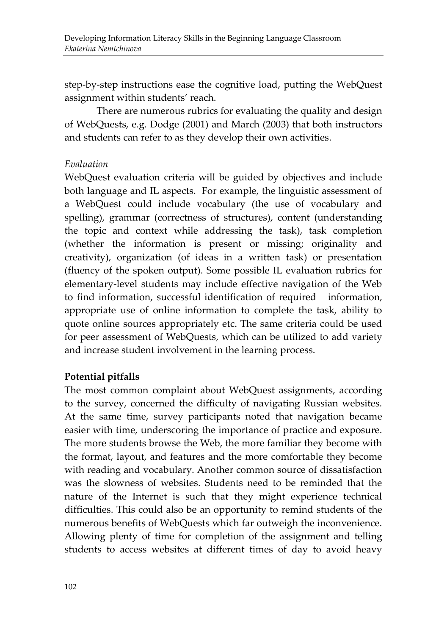step-by-step instructions ease the cognitive load, putting the WebQuest assignment within students' reach.

There are numerous rubrics for evaluating the quality and design of WebQuests, e.g. Dodge (2001) and March (2003) that both instructors and students can refer to as they develop their own activities.

## *Evaluation*

WebQuest evaluation criteria will be guided by objectives and include both language and IL aspects. For example, the linguistic assessment of a WebQuest could include vocabulary (the use of vocabulary and spelling), grammar (correctness of structures), content (understanding the topic and context while addressing the task), task completion (whether the information is present or missing; originality and creativity), organization (of ideas in a written task) or presentation (fluency of the spoken output). Some possible IL evaluation rubrics for elementary-level students may include effective navigation of the Web to find information, successful identification of required information, appropriate use of online information to complete the task, ability to quote online sources appropriately etc. The same criteria could be used for peer assessment of WebQuests, which can be utilized to add variety and increase student involvement in the learning process.

## **Potential pitfalls**

The most common complaint about WebQuest assignments, according to the survey, concerned the difficulty of navigating Russian websites. At the same time, survey participants noted that navigation became easier with time, underscoring the importance of practice and exposure. The more students browse the Web, the more familiar they become with the format, layout, and features and the more comfortable they become with reading and vocabulary. Another common source of dissatisfaction was the slowness of websites. Students need to be reminded that the nature of the Internet is such that they might experience technical difficulties. This could also be an opportunity to remind students of the numerous benefits of WebQuests which far outweigh the inconvenience. Allowing plenty of time for completion of the assignment and telling students to access websites at different times of day to avoid heavy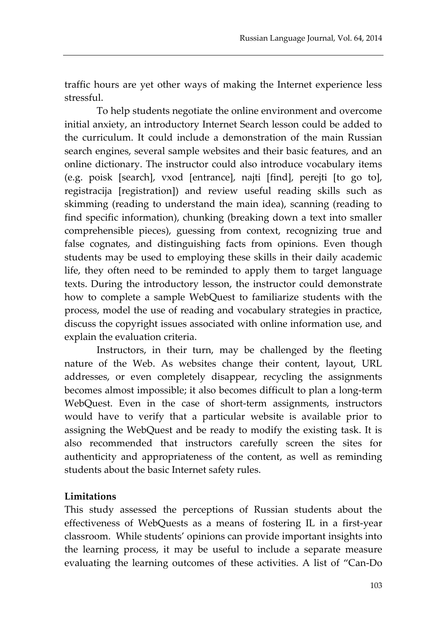traffic hours are yet other ways of making the Internet experience less stressful.

To help students negotiate the online environment and overcome initial anxiety, an introductory Internet Search lesson could be added to the curriculum. It could include a demonstration of the main Russian search engines, several sample websites and their basic features, and an online dictionary. The instructor could also introduce vocabulary items (e.g. poisk [search], vxod [entrance], najti [find], perejti [to go to], registracija [registration]) and review useful reading skills such as skimming (reading to understand the main idea), scanning (reading to find specific information), chunking (breaking down a text into smaller comprehensible pieces), guessing from context, recognizing true and false cognates, and distinguishing facts from opinions. Even though students may be used to employing these skills in their daily academic life, they often need to be reminded to apply them to target language texts. During the introductory lesson, the instructor could demonstrate how to complete a sample WebQuest to familiarize students with the process, model the use of reading and vocabulary strategies in practice, discuss the copyright issues associated with online information use, and explain the evaluation criteria.

Instructors, in their turn, may be challenged by the fleeting nature of the Web. As websites change their content, layout, URL addresses, or even completely disappear, recycling the assignments becomes almost impossible; it also becomes difficult to plan a long-term WebQuest. Even in the case of short-term assignments, instructors would have to verify that a particular website is available prior to assigning the WebQuest and be ready to modify the existing task. It is also recommended that instructors carefully screen the sites for authenticity and appropriateness of the content, as well as reminding students about the basic Internet safety rules.

## **Limitations**

This study assessed the perceptions of Russian students about the effectiveness of WebQuests as a means of fostering IL in a first-year classroom. While students' opinions can provide important insights into the learning process, it may be useful to include a separate measure evaluating the learning outcomes of these activities. A list of "Can-Do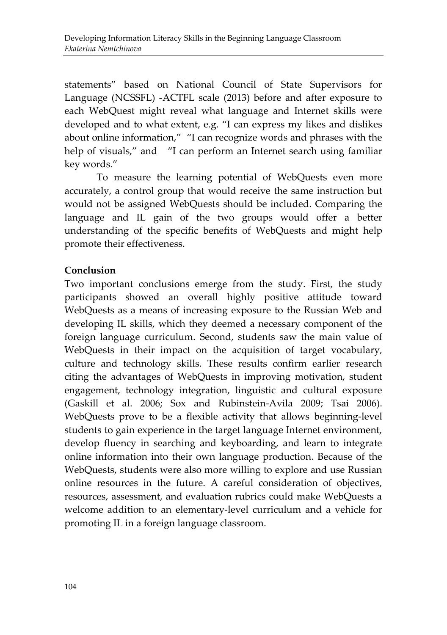statements" based on National Council of State Supervisors for Language (NCSSFL) -ACTFL scale (2013) before and after exposure to each WebQuest might reveal what language and Internet skills were developed and to what extent, e.g. "I can express my likes and dislikes about online information," "I can recognize words and phrases with the help of visuals," and "I can perform an Internet search using familiar key words."

To measure the learning potential of WebQuests even more accurately, a control group that would receive the same instruction but would not be assigned WebQuests should be included. Comparing the language and IL gain of the two groups would offer a better understanding of the specific benefits of WebQuests and might help promote their effectiveness.

# **Conclusion**

Two important conclusions emerge from the study. First, the study participants showed an overall highly positive attitude toward WebQuests as a means of increasing exposure to the Russian Web and developing IL skills, which they deemed a necessary component of the foreign language curriculum. Second, students saw the main value of WebQuests in their impact on the acquisition of target vocabulary, culture and technology skills. These results confirm earlier research citing the advantages of WebQuests in improving motivation, student engagement, technology integration, linguistic and cultural exposure (Gaskill et al. 2006; Sox and Rubinstein-Avila 2009; Tsai 2006). WebQuests prove to be a flexible activity that allows beginning-level students to gain experience in the target language Internet environment, develop fluency in searching and keyboarding, and learn to integrate online information into their own language production. Because of the WebQuests, students were also more willing to explore and use Russian online resources in the future. A careful consideration of objectives, resources, assessment, and evaluation rubrics could make WebQuests a welcome addition to an elementary-level curriculum and a vehicle for promoting IL in a foreign language classroom.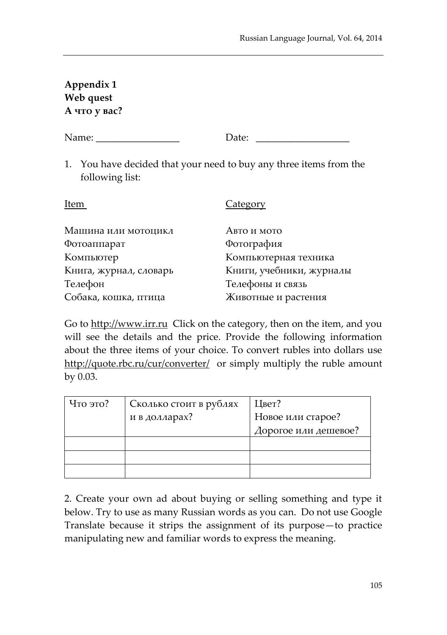# **Appendix 1 Web quest А что у вас?**

| Name: $\_\_$           | Date:                                                              |
|------------------------|--------------------------------------------------------------------|
| following list:        | 1. You have decided that your need to buy any three items from the |
| Item                   | <b>Category</b>                                                    |
| Машина или мотоцикл    | Авто и мото                                                        |
| Фотоаппарат            | Фотография                                                         |
| Компьютер              | Компьютерная техника                                               |
| Книга, журнал, словарь | Книги, учебники, журналы                                           |
| Телефон                | Телефоны и связь                                                   |

Собака, кошка, птица Животные и растения

Go to [http://www.irr.ru](http://www.irr.ru/) Click on the category, then on the item, and you will see the details and the price. Provide the following information about the three items of your choice. To convert rubles into dollars use <http://quote.rbc.ru/cur/converter/>or simply multiply the ruble amount by 0.03.

| Что это? | Сколько стоит в рублях<br>и в долларах? | Цвет?<br>Новое или старое?<br>Дорогое или дешевое? |
|----------|-----------------------------------------|----------------------------------------------------|
|          |                                         |                                                    |
|          |                                         |                                                    |
|          |                                         |                                                    |

2. Create your own ad about buying or selling something and type it below. Try to use as many Russian words as you can. Do not use Google Translate because it strips the assignment of its purpose—to practice manipulating new and familiar words to express the meaning.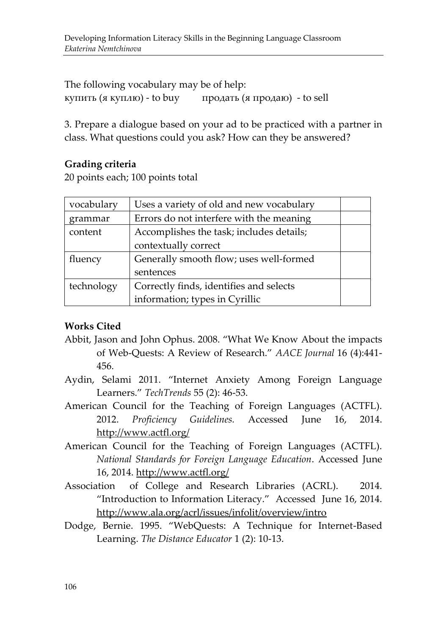The following vocabulary may be of help: купить (я куплю) - to buy продать (я продаю) - to sell

3. Prepare a dialogue based on your ad to be practiced with a partner in class. What questions could you ask? How can they be answered?

# **Grading criteria**

20 points each; 100 points total

| vocabulary | Uses a variety of old and new vocabulary |  |
|------------|------------------------------------------|--|
| grammar    | Errors do not interfere with the meaning |  |
| content    | Accomplishes the task; includes details; |  |
|            | contextually correct                     |  |
| fluency    | Generally smooth flow; uses well-formed  |  |
|            | sentences                                |  |
| technology | Correctly finds, identifies and selects  |  |
|            | information; types in Cyrillic           |  |

# **Works Cited**

- Abbit, Jason and John Ophus. 2008. "What We Know About the impacts of Web-Quests: A Review of Research." *AACE Journal* 16 (4):441- 456.
- Aydin, Selami 2011. "Internet Anxiety Among Foreign Language Learners." *TechTrends* 55 (2): 46-53.
- American Council for the Teaching of Foreign Languages (ACTFL). 2012. *Proficiency Guidelines.* Accessed June 16, 2014. http://www.actfl.org/
- American Council for the Teaching of Foreign Languages (ACTFL). *National Standards for Foreign Language Education*. Accessed June 16, 2014. http://www.actfl.org/
- Association of College and Research Libraries (ACRL). 2014. "Introduction to Information Literacy." Accessed June 16, 2014. http://www.ala.org/acrl/issues/infolit/overview/intro
- Dodge, Bernie. 1995. "WebQuests: A Technique for Internet-Based Learning. *The Distance Educator* 1 (2): 10-13.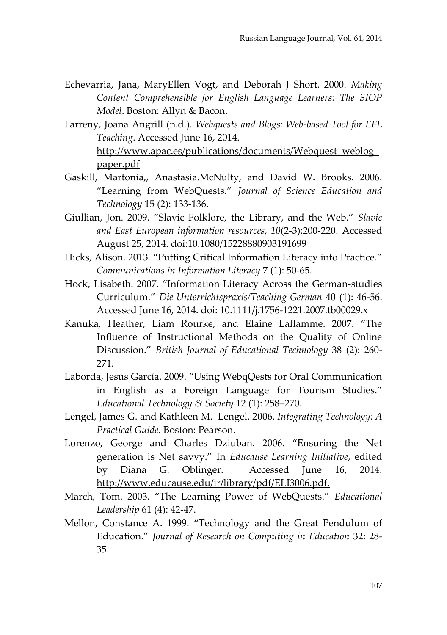- Echevarria, Jana, MaryEllen Vogt, and Deborah J Short. 2000. *Making Content Comprehensible for English Language Learners: The SIOP Model*. Boston: Allyn & Bacon.
- Farreny, Joana Angrill (n.d.). *Webquests and Blogs: Web-based Tool for EFL Teaching*. Accessed June 16, 2014. [http://www.apac.es/publications/documents/W](http://www.apac.es/publications/documents/)ebquest\_weblog\_ paper.pdf
- Gaskill, Martonia,, Anastasia.McNulty, and David W. Brooks. 2006. "Learning from WebQuests." *Journal of Science Education and Technology* 15 (2): 133-136.
- Giullian, Jon. 2009. "Slavic Folklore, the Library, and the Web." *Slavic and East European information resources, 10*(2-3):200-220. Accessed August 25, 2014. doi:10.1080/15228880903191699
- Hicks, Alison. 2013. "Putting Critical Information Literacy into Practice." *Communications in Information Literacy* 7 (1): 50-65.
- Hock, Lisabeth. 2007. "Information Literacy Across the German-studies Curriculum." *Die Unterrichtspraxis/Teaching German* 40 (1): 46-56. Accessed June 16, 2014. doi: 10.1111/j.1756-1221.2007.tb00029.x
- Kanuka, Heather, Liam Rourke, and Elaine Laflamme. 2007. "The Influence of Instructional Methods on the Quality of Online Discussion." *British Journal of Educational Technology* 38 (2): 260- 271.
- Laborda, Jesús García. 2009. "Using WebqQests for Oral Communication in English as a Foreign Language for Tourism Studies." *Educational Technology & Society* 12 (1): 258–270.
- Lengel, James G. and Kathleen M. Lengel. 2006. *Integrating Technology: A Practical Guide.* Boston: Pearson.
- Lorenzo, George and Charles Dziuban. 2006. "Ensuring the Net generation is Net savvy." In *Educause Learning Initiative*, edited by Diana G. Oblinger. Accessed June 16, 2014. http://www.educause.edu/ir/library/pdf/ELI3006.pdf.
- March, Tom. 2003. "The Learning Power of WebQuests." *Educational Leadership* 61 (4): 42-47.
- Mellon, Constance A. 1999. "Technology and the Great Pendulum of Education." *Journal of Research on Computing in Education* 32: 28- 35.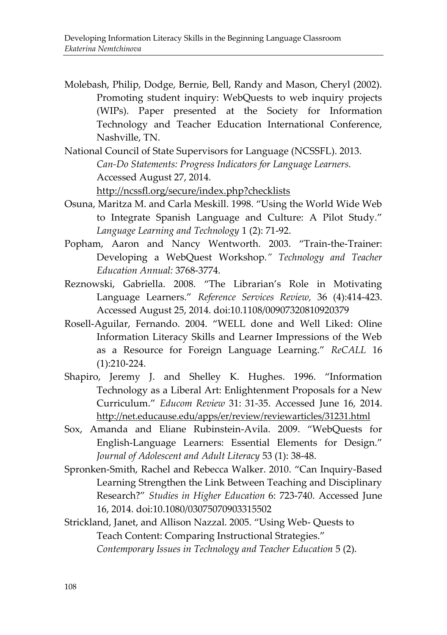Molebash, Philip, Dodge, Bernie, Bell, Randy and Mason, Cheryl (2002). Promoting student inquiry: WebQuests to web inquiry projects (WIPs). Paper presented at the Society for Information Technology and Teacher Education International Conference, Nashville, TN.

National Council of State Supervisors for Language (NCSSFL). 2013. *Can-Do Statements: Progress Indicators for Language Learners.* Accessed August 27, 2014. http://ncssfl.org/secure/index.php?checklists

- Osuna, Maritza M. and Carla Meskill. 1998. "Using the World Wide Web to Integrate Spanish Language and Culture: A Pilot Study." *Language Learning and Technology* 1 (2): 71-92.
- Popham, Aaron and Nancy Wentworth. 2003. "Train-the-Trainer: Developing a WebQuest Workshop*." Technology and Teacher Education Annual:* 3768-3774.
- Reznowski, Gabriella. 2008. "The Librarian's Role in Motivating Language Learners." *Reference Services Review,* 36 (4):414-423. Accessed August 25, 2014. doi:10.1108/00907320810920379
- Rosell-Aguilar, Fernando. 2004. "WELL done and Well Liked: Oline Information Literacy Skills and Learner Impressions of the Web as a Resource for Foreign Language Learning." *ReCALL* 16 (1):210-224.
- Shapiro, Jeremy J. and Shelley K. Hughes. 1996. "Information Technology as a Liberal Art: Enlightenment Proposals for a New Curriculum." *Educom Review* 31: 31-35. Accessed June 16, 2014. http://net.educause.edu/apps/er/review/reviewarticles/31231.html
- Sox, Amanda and Eliane Rubinstein-Avila. 2009. "WebQuests for English-Language Learners: Essential Elements for Design." *Journal of Adolescent and Adult Literacy* 53 (1): 38-48.
- Spronken-Smith, Rachel and Rebecca Walker. 2010. "Can Inquiry-Based Learning Strengthen the Link Between Teaching and Disciplinary Research?" *Studies in Higher Education* 6: 723-740. Accessed June 16, 2014. doi:10.1080/03075070903315502
- Strickland, Janet, and Allison Nazzal. 2005. "Using Web- Quests to Teach Content: Comparing Instructional Strategies." *Contemporary Issues in Technology and Teacher Education* 5 (2).